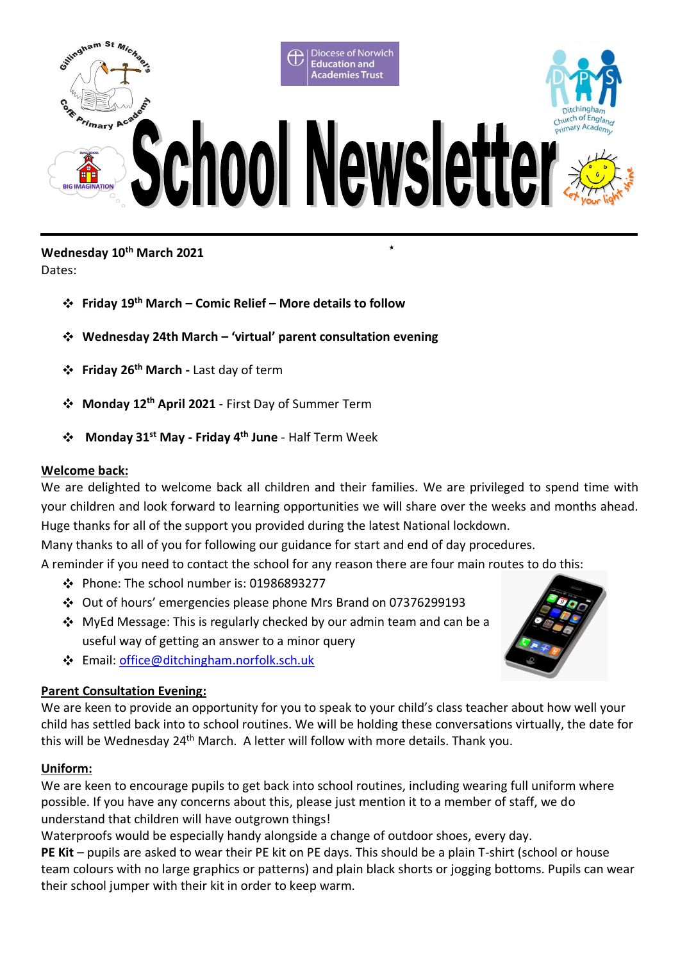

# **Wednesday 10th March 2021**

Dates:

- **Friday 19th March – Comic Relief – More details to follow**
- *k* **Wednesday 24th March – 'virtual' parent consultation evening**
- **Friday 26th March -** Last day of term
- **Monday 12th April 2021** First Day of Summer Term
- **Monday 31st May - Friday 4th June** Half Term Week  $\mathbf{r}$

# **Welcome back:**

*k* We are delighted to welcome back all children and their families. We are privileged to spend time with *o* your children and look forward to learning opportunities we will share over the weeks and months ahead. Huge thanks for all of the support you provided during the latest National lockdown.

*t* Many thanks to all of you for following our guidance for start and end of day procedures.

*f* A reminder if you need to contact the school for any reason there are four main routes to do this:

- Phone: The school number is: 01986893277
- *r* Out of hours' emergencies please phone Mrs Brand on 07376299193
- MyEd Message: This is regularly checked by our admin team and can be a useful way of getting an answer to a minor query
- Email: [office@ditchingham.norfolk.sch.uk](mailto:office@ditchingham.norfolk.sch.uk)

# **Parent Consultation Evening:**

*t* child has settled back into to school routines. We will be holding these conversations virtually, the date for *o* this will be Wednesday 24th March. A letter will follow with more details. Thank you. We are keen to provide an opportunity for you to speak to your child's class teacher about how well your

# **Uniform:**

We are keen to encourage pupils to get back into school routines, including wearing full uniform where *s* possible. If you have any concerns about this, please just mention it to a member of staff, we do understand that children will have outgrown things!

Waterproofs would be especially handy alongside a change of outdoor shoes, every day. *e*

**PE Kit** – pupils are asked to wear their PE kit on PE days. This should be a plain T-shirt (school or house *r* team colours with no large graphics or patterns) and plain black shorts or jogging bottoms. Pupils can wear their school jumper with their kit in order to keep warm.

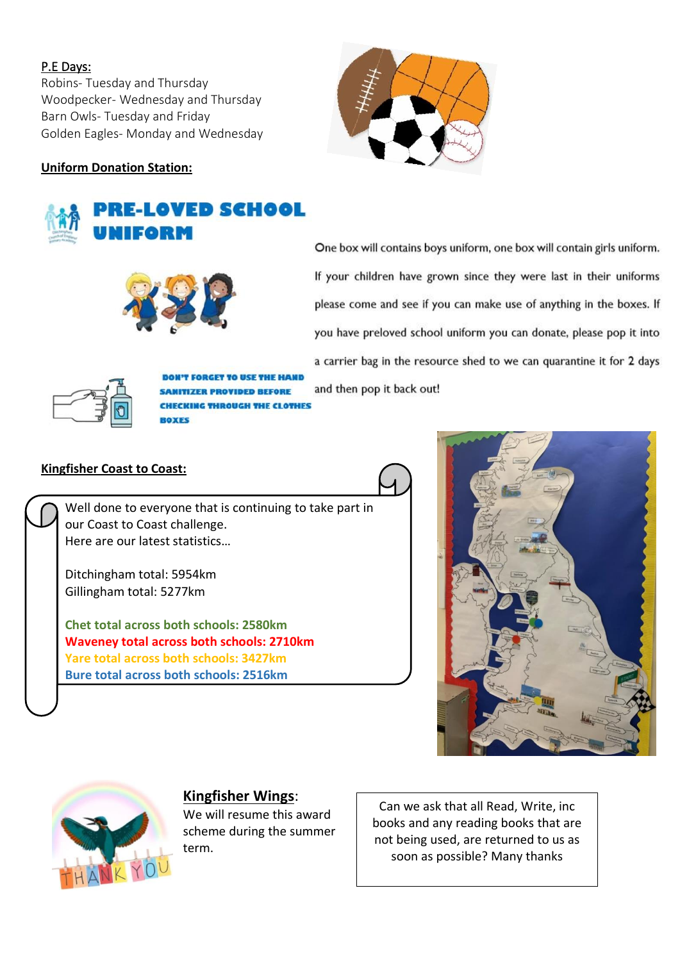# P.E Days:

Robins- Tuesday and Thursday Woodpecker- Wednesday and Thursday Barn Owls- Tuesday and Friday Golden Eagles- Monday and Wednesday

# **Uniform Donation Station:**

# **E-LOVED SCHOOL**



One box will contains boys uniform, one box will contain girls uniform. If your children have grown since they were last in their uniforms please come and see if you can make use of anything in the boxes. If you have preloved school uniform you can donate, please pop it into a carrier bag in the resource shed to we can quarantine it for 2 days and then pop it back out!



**T FORGET TO USE THE HAND IZER PROVIDED BEFORE CKING THROUGH THE CLOTHES** 

# **Kingfisher Coast to Coast:**

Well done to everyone that is continuing to take part in our Coast to Coast challenge. Here are our latest statistics…

Ditchingham total: 5954km Gillingham total: 5277km

**Chet total across both schools: 2580km Waveney total across both schools: 2710km Yare total across both schools: 3427km Bure total across both schools: 2516km**





# **Kingfisher Wings**:

We will resume this award scheme during the summer term.

Can we ask that all Read, Write, inc books and any reading books that are not being used, are returned to us as soon as possible? Many thanks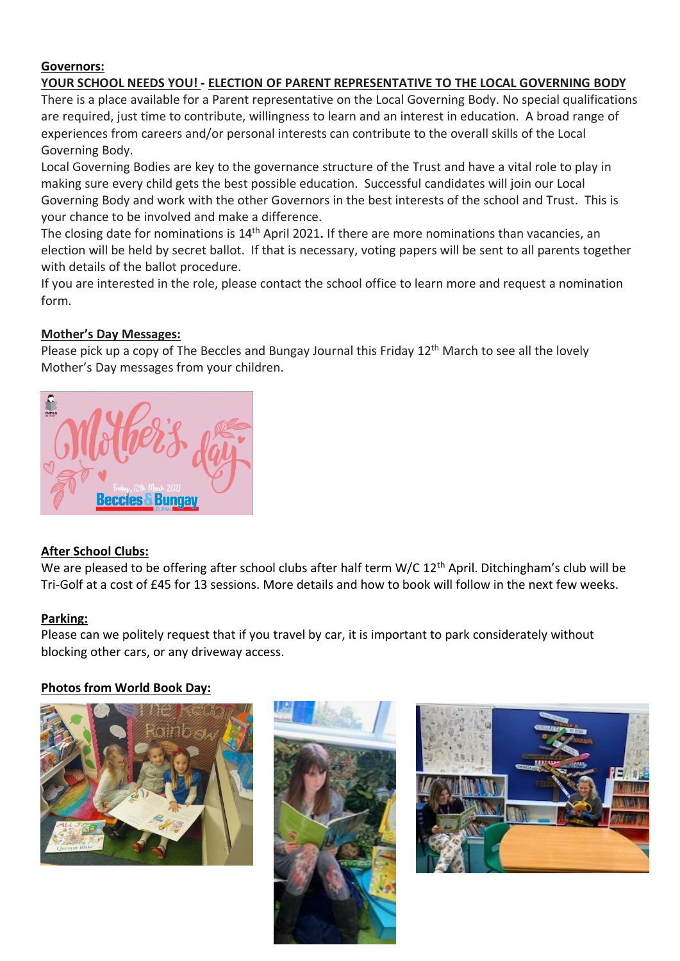# **Governors:**

# **YOUR SCHOOL NEEDS YOU! - ELECTION OF PARENT REPRESENTATIVE TO THE LOCAL GOVERNING BODY**

There is a place available for a Parent representative on the Local Governing Body. No special qualifications are required, just time to contribute, willingness to learn and an interest in education. A broad range of experiences from careers and/or personal interests can contribute to the overall skills of the Local Governing Body.

Local Governing Bodies are key to the governance structure of the Trust and have a vital role to play in making sure every child gets the best possible education. Successful candidates will join our Local Governing Body and work with the other Governors in the best interests of the school and Trust. This is your chance to be involved and make a difference.

The closing date for nominations is 14th April 2021**.** If there are more nominations than vacancies, an election will be held by secret ballot. If that is necessary, voting papers will be sent to all parents together with details of the ballot procedure.

If you are interested in the role, please contact the school office to learn more and request a nomination form.

# **Mother's Day Messages:**

Please pick up a copy of The Beccles and Bungay Journal this Friday 12<sup>th</sup> March to see all the lovely Mother's Day messages from your children.



# **After School Clubs:**

We are pleased to be offering after school clubs after half term W/C 12<sup>th</sup> April. Ditchingham's club will be Tri-Golf at a cost of £45 for 13 sessions. More details and how to book will follow in the next few weeks.

#### **Parking:**

Please can we politely request that if you travel by car, it is important to park considerately without blocking other cars, or any driveway access.

# **Photos from World Book Day:**